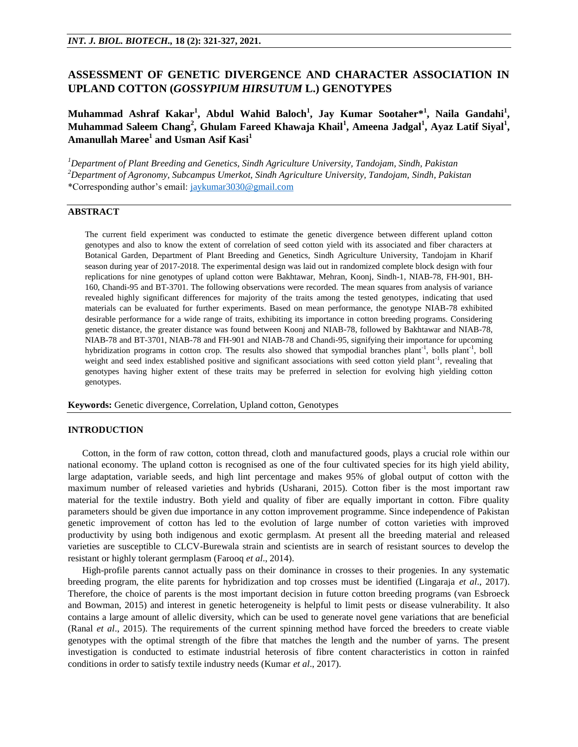# **ASSESSMENT OF GENETIC DIVERGENCE AND CHARACTER ASSOCIATION IN UPLAND COTTON (***GOSSYPIUM HIRSUTUM* **L.) GENOTYPES**

**Muhammad Ashraf Kakar<sup>1</sup> , Abdul Wahid Baloch<sup>1</sup> , Jay Kumar Sootaher\* 1 , Naila Gandahi<sup>1</sup> , Muhammad Saleem Chang<sup>2</sup> , Ghulam Fareed Khawaja Khail<sup>1</sup> , Ameena Jadgal<sup>1</sup> , Ayaz Latif Siyal<sup>1</sup> , Amanullah Maree<sup>1</sup> and Usman Asif Kasi<sup>1</sup>**

*<sup>1</sup>Department of Plant Breeding and Genetics, Sindh Agriculture University, Tandojam, Sindh, Pakistan <sup>2</sup>Department of Agronomy, Subcampus Umerkot, Sindh Agriculture University, Tandojam, Sindh, Pakistan* \*Corresponding author's email[: jaykumar3030@gmail.com](mailto:jaykumar3030@gmail.com)

# **ABSTRACT**

The current field experiment was conducted to estimate the genetic divergence between different upland cotton genotypes and also to know the extent of correlation of seed cotton yield with its associated and fiber characters at Botanical Garden, Department of Plant Breeding and Genetics, Sindh Agriculture University, Tandojam in Kharif season during year of 2017-2018. The experimental design was laid out in randomized complete block design with four replications for nine genotypes of upland cotton were Bakhtawar, Mehran, Koonj, Sindh-1, NIAB-78, FH-901, BH-160, Chandi-95 and BT-3701. The following observations were recorded. The mean squares from analysis of variance revealed highly significant differences for majority of the traits among the tested genotypes, indicating that used materials can be evaluated for further experiments. Based on mean performance, the genotype NIAB-78 exhibited desirable performance for a wide range of traits, exhibiting its importance in cotton breeding programs. Considering genetic distance, the greater distance was found between Koonj and NIAB-78, followed by Bakhtawar and NIAB-78, NIAB-78 and BT-3701, NIAB-78 and FH-901 and NIAB-78 and Chandi-95, signifying their importance for upcoming hybridization programs in cotton crop. The results also showed that sympodial branches plant<sup>-1</sup>, bolls plant<sup>-1</sup>, boll weight and seed index established positive and significant associations with seed cotton yield plant<sup>-1</sup>, revealing that genotypes having higher extent of these traits may be preferred in selection for evolving high yielding cotton genotypes.

**Keywords:** Genetic divergence, Correlation, Upland cotton, Genotypes

# **INTRODUCTION**

 Cotton, in the form of raw cotton, cotton thread, cloth and manufactured goods, plays a crucial role within our national economy. The upland cotton is recognised as one of the four cultivated species for its high yield ability, large adaptation, variable seeds, and high lint percentage and makes 95% of global output of cotton with the maximum number of released varieties and hybrids (Usharani, 2015). Cotton fiber is the most important raw material for the textile industry. Both yield and quality of fiber are equally important in cotton. Fibre quality parameters should be given due importance in any cotton improvement programme. Since independence of Pakistan genetic improvement of cotton has led to the evolution of large number of cotton varieties with improved productivity by using both indigenous and exotic germplasm. At present all the breeding material and released varieties are susceptible to CLCV-Burewala strain and scientists are in search of resistant sources to develop the resistant or highly tolerant germplasm (Farooq *et al*., 2014).

 High-profile parents cannot actually pass on their dominance in crosses to their progenies. In any systematic breeding program, the elite parents for hybridization and top crosses must be identified (Lingaraja *et al*., 2017). Therefore, the choice of parents is the most important decision in future cotton breeding programs (van Esbroeck and Bowman, 2015) and interest in genetic heterogeneity is helpful to limit pests or disease vulnerability. It also contains a large amount of allelic diversity, which can be used to generate novel gene variations that are beneficial (Ranal *et al*., 2015). The requirements of the current spinning method have forced the breeders to create viable genotypes with the optimal strength of the fibre that matches the length and the number of yarns. The present investigation is conducted to estimate industrial heterosis of fibre content characteristics in cotton in rainfed conditions in order to satisfy textile industry needs (Kumar *et al*., 2017).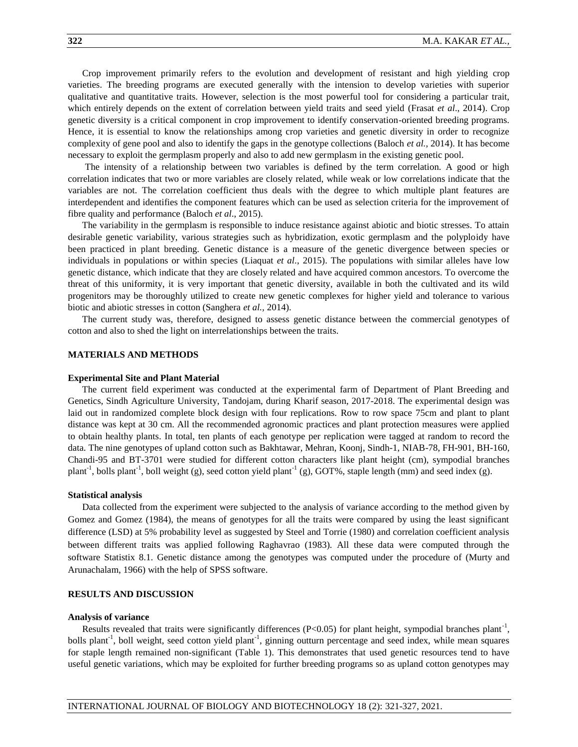Crop improvement primarily refers to the evolution and development of resistant and high yielding crop varieties. The breeding programs are executed generally with the intension to develop varieties with superior qualitative and quantitative traits. However, selection is the most powerful tool for considering a particular trait, which entirely depends on the extent of correlation between yield traits and seed yield (Frasat *et al*., 2014). Crop genetic diversity is a critical component in crop improvement to identify conservation-oriented breeding programs. Hence, it is essential to know the relationships among crop varieties and genetic diversity in order to recognize complexity of gene pool and also to identify the gaps in the genotype collections (Baloch *et al.,* 2014). It has become necessary to exploit the germplasm properly and also to add new germplasm in the existing genetic pool.

The intensity of a relationship between two variables is defined by the term correlation. A good or high correlation indicates that two or more variables are closely related, while weak or low correlations indicate that the variables are not. The correlation coefficient thus deals with the degree to which multiple plant features are interdependent and identifies the component features which can be used as selection criteria for the improvement of fibre quality and performance (Baloch *et al*., 2015).

 The variability in the germplasm is responsible to induce resistance against abiotic and biotic stresses. To attain desirable genetic variability, various strategies such as hybridization, exotic germplasm and the polyploidy have been practiced in plant breeding. Genetic distance is a measure of the genetic divergence between species or individuals in populations or within species (Liaquat *et al*., 2015). The populations with similar alleles have low genetic distance, which indicate that they are closely related and have acquired common ancestors. To overcome the threat of this uniformity, it is very important that genetic diversity, available in both the cultivated and its wild progenitors may be thoroughly utilized to create new genetic complexes for higher yield and tolerance to various biotic and abiotic stresses in cotton (Sanghera *et al.,* 2014).

 The current study was, therefore, designed to assess genetic distance between the commercial genotypes of cotton and also to shed the light on interrelationships between the traits.

### **MATERIALS AND METHODS**

#### **Experimental Site and Plant Material**

 The current field experiment was conducted at the experimental farm of Department of Plant Breeding and Genetics, Sindh Agriculture University, Tandojam, during Kharif season, 2017-2018. The experimental design was laid out in randomized complete block design with four replications. Row to row space 75cm and plant to plant distance was kept at 30 cm. All the recommended agronomic practices and plant protection measures were applied to obtain healthy plants. In total, ten plants of each genotype per replication were tagged at random to record the data. The nine genotypes of upland cotton such as Bakhtawar, Mehran, Koonj, Sindh-1, NIAB-78, FH-901, BH-160, Chandi-95 and BT-3701 were studied for different cotton characters like plant height (cm), sympodial branches plant<sup>-1</sup>, bolls plant<sup>-1</sup>, boll weight (g), seed cotton yield plant<sup>-1</sup> (g), GOT%, staple length (mm) and seed index (g).

#### **Statistical analysis**

Data collected from the experiment were subjected to the analysis of variance according to the method given by Gomez and Gomez (1984), the means of genotypes for all the traits were compared by using the least significant difference (LSD) at 5% probability level as suggested by Steel and Torrie (1980) and correlation coefficient analysis between different traits was applied following Raghavrao (1983). All these data were computed through the software Statistix 8.1. Genetic distance among the genotypes was computed under the procedure of (Murty and Arunachalam, 1966) with the help of SPSS software.

# **RESULTS AND DISCUSSION**

#### **Analysis of variance**

Results revealed that traits were significantly differences ( $P<0.05$ ) for plant height, sympodial branches plant<sup>-1</sup>, bolls plant<sup>-1</sup>, boll weight, seed cotton yield plant<sup>-1</sup>, ginning outturn percentage and seed index, while mean squares for staple length remained non-significant (Table 1). This demonstrates that used genetic resources tend to have useful genetic variations, which may be exploited for further breeding programs so as upland cotton genotypes may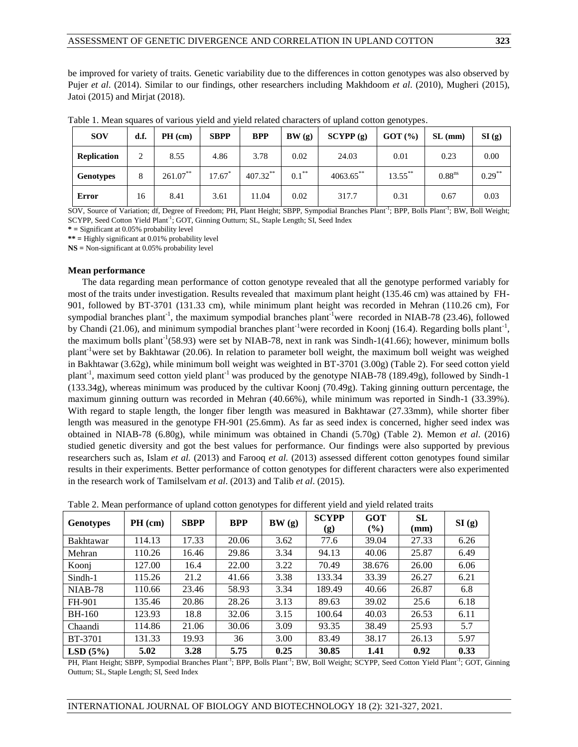be improved for variety of traits. Genetic variability due to the differences in cotton genotypes was also observed by Pujer *et al*. (2014). Similar to our findings, other researchers including Makhdoom *et al*. (2010), Mugheri (2015), Jatoi (2015) and Mirjat (2018).

| <b>SOV</b>         | d.f. | $PH$ (cm)   | <b>SBPP</b>          | <b>BPP</b>  | BW(g)      | SCYPP(g)     | GOT(%)     | SL(mm)             | SI(g)     |
|--------------------|------|-------------|----------------------|-------------|------------|--------------|------------|--------------------|-----------|
| <b>Replication</b> | 2    | 8.55        | 4.86                 | 3.78        | 0.02       | 24.03        | 0.01       | 0.23               | 0.00      |
| <b>Genotypes</b>   | 8    | $261.07***$ | $17.67$ <sup>*</sup> | $407.32***$ | $0.1^{**}$ | $4063.65***$ | $13.55***$ | 0.88 <sup>ns</sup> | $0.29***$ |
| Error              | 16   | 8.41        | 3.61                 | 11.04       | 0.02       | 317.7        | 0.31       | 0.67               | 0.03      |

Table 1. Mean squares of various yield and yield related characters of upland cotton genotypes.

SOV, Source of Variation; df, Degree of Freedom; PH, Plant Height; SBPP, Sympodial Branches Plant<sup>-1</sup>; BPP, Bolls Plant<sup>-1</sup>; BW, Boll Weight; SCYPP, Seed Cotton Yield Plant<sup>-1</sup>; GOT, Ginning Outturn; SL, Staple Length; SI, Seed Index

**\* =** Significant at 0.05% probability level

**\*\* =** Highly significant at 0.01% probability level

**NS =** Non-significant at 0.05% probability level

#### **Mean performance**

 The data regarding mean performance of cotton genotype revealed that all the genotype performed variably for most of the traits under investigation. Results revealed that maximum plant height (135.46 cm) was attained by FH-901, followed by BT-3701 (131.33 cm), while minimum plant height was recorded in Mehran (110.26 cm), For sympodial branches plant<sup>-1</sup>, the maximum sympodial branches plant<sup>-1</sup>were recorded in NIAB-78 (23.46), followed by Chandi (21.06), and minimum sympodial branches plant<sup>-1</sup>were recorded in Koonj (16.4). Regarding bolls plant<sup>-1</sup>, the maximum bolls plant<sup>-1</sup>(58.93) were set by NIAB-78, next in rank was Sindh-1(41.66); however, minimum bolls plant-1were set by Bakhtawar (20.06). In relation to parameter boll weight, the maximum boll weight was weighed in Bakhtawar (3.62g), while minimum boll weight was weighted in BT-3701 (3.00g) (Table 2). For seed cotton yield plant<sup>-1</sup>, maximum seed cotton yield plant<sup>-1</sup> was produced by the genotype NIAB-78 (189.49g), followed by Sindh-1 (133.34g), whereas minimum was produced by the cultivar Koonj (70.49g). Taking ginning outturn percentage, the maximum ginning outturn was recorded in Mehran (40.66%), while minimum was reported in Sindh-1 (33.39%). With regard to staple length, the longer fiber length was measured in Bakhtawar (27.33mm), while shorter fiber length was measured in the genotype FH-901 (25.6mm). As far as seed index is concerned, higher seed index was obtained in NIAB-78 (6.80g), while minimum was obtained in Chandi (5.70g) (Table 2). Memon *et al*. (2016) studied genetic diversity and got the best values for performance. Our findings were also supported by previous researchers such as, Islam *et al.* (2013) and Farooq *et al.* (2013) assessed different cotton genotypes found similar results in their experiments. Better performance of cotton genotypes for different characters were also experimented in the research work of Tamilselvam *et al*. (2013) and Talib *et al*. (2015).

|                  | л.        | л.          | ັ          | ╯┸    |                     |                      |                              |       |
|------------------|-----------|-------------|------------|-------|---------------------|----------------------|------------------------------|-------|
| <b>Genotypes</b> | $PH$ (cm) | <b>SBPP</b> | <b>BPP</b> | BW(g) | <b>SCYPP</b><br>(g) | <b>GOT</b><br>$(\%)$ | <b>SL</b><br>$(\mathbf{mm})$ | SI(g) |
| Bakhtawar        | 114.13    | 17.33       | 20.06      | 3.62  | 77.6                | 39.04                | 27.33                        | 6.26  |
| Mehran           | 110.26    | 16.46       | 29.86      | 3.34  | 94.13               | 40.06                | 25.87                        | 6.49  |
| Koonj            | 127.00    | 16.4        | 22.00      | 3.22  | 70.49               | 38.676               | 26.00                        | 6.06  |
| Sindh-1          | 115.26    | 21.2        | 41.66      | 3.38  | 133.34              | 33.39                | 26.27                        | 6.21  |
| <b>NIAB-78</b>   | 110.66    | 23.46       | 58.93      | 3.34  | 189.49              | 40.66                | 26.87                        | 6.8   |
| FH-901           | 135.46    | 20.86       | 28.26      | 3.13  | 89.63               | 39.02                | 25.6                         | 6.18  |
| <b>BH-160</b>    | 123.93    | 18.8        | 32.06      | 3.15  | 100.64              | 40.03                | 26.53                        | 6.11  |
| Chaandi          | 114.86    | 21.06       | 30.06      | 3.09  | 93.35               | 38.49                | 25.93                        | 5.7   |
| <b>BT-3701</b>   | 131.33    | 19.93       | 36         | 3.00  | 83.49               | 38.17                | 26.13                        | 5.97  |
| LSD(5%)          | 5.02      | 3.28        | 5.75       | 0.25  | 30.85               | 1.41                 | 0.92                         | 0.33  |

Table 2. Mean performance of upland cotton genotypes for different yield and yield related traits

PH, Plant Height; SBPP, Sympodial Branches Plant<sup>-1</sup>; BPP, Bolls Plant<sup>-1</sup>; BW, Boll Weight; SCYPP, Seed Cotton Yield Plant<sup>-1</sup>; GOT, Ginning Outturn; SL, Staple Length; SI, Seed Index

## INTERNATIONAL JOURNAL OF BIOLOGY AND BIOTECHNOLOGY 18 (2): 321-327, 2021.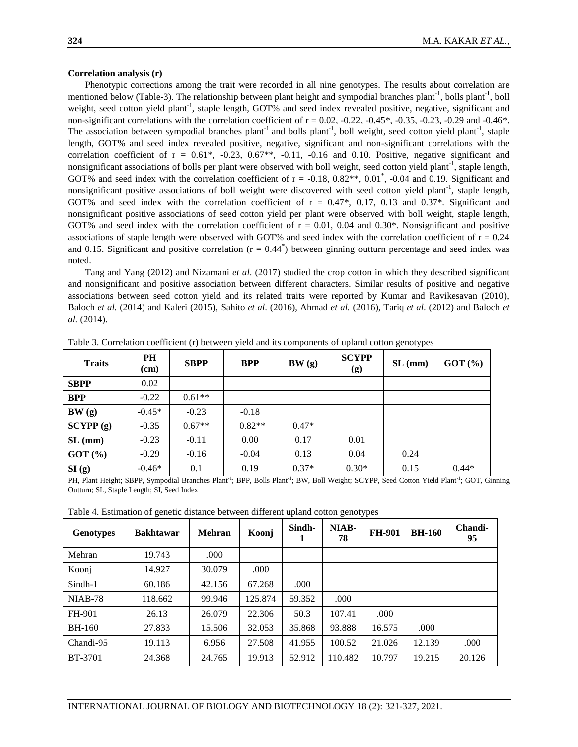# **Correlation analysis (r)**

Phenotypic corrections among the trait were recorded in all nine genotypes. The results about correlation are mentioned below (Table-3). The relationship between plant height and sympodial branches plant<sup>-1</sup>, bolls plant<sup>-1</sup>, boll weight, seed cotton yield plant<sup>-1</sup>, staple length, GOT% and seed index revealed positive, negative, significant and non-significant correlations with the correlation coefficient of  $r = 0.02$ ,  $-0.22$ ,  $-0.45^*$ ,  $-0.35$ ,  $-0.23$ ,  $-0.29$  and  $-0.46^*$ . The association between sympodial branches plant<sup>-1</sup> and bolls plant<sup>-1</sup>, boll weight, seed cotton yield plant<sup>-1</sup>, staple length, GOT% and seed index revealed positive, negative, significant and non-significant correlations with the correlation coefficient of  $r = 0.61^*$ , -0.23, 0.67<sup>\*</sup>, -0.11, -0.16 and 0.10. Positive, negative significant and nonsignificant associations of bolls per plant were observed with boll weight, seed cotton yield plant<sup>-1</sup>, staple length, GOT% and seed index with the correlation coefficient of  $r = -0.18$ ,  $0.82**$ ,  $0.01^*$ ,  $-0.04$  and 0.19. Significant and nonsignificant positive associations of boll weight were discovered with seed cotton yield plant<sup>-1</sup>, staple length, GOT% and seed index with the correlation coefficient of  $r = 0.47^*$ , 0.17, 0.13 and 0.37<sup>\*</sup>. Significant and nonsignificant positive associations of seed cotton yield per plant were observed with boll weight, staple length, GOT% and seed index with the correlation coefficient of  $r = 0.01$ , 0.04 and 0.30\*. Nonsignificant and positive associations of staple length were observed with GOT% and seed index with the correlation coefficient of  $r = 0.24$ and 0.15. Significant and positive correlation  $(r = 0.44^*)$  between ginning outturn percentage and seed index was noted.

Tang and Yang (2012) and Nizamani *et al*. (2017) studied the crop cotton in which they described significant and nonsignificant and positive association between different characters. Similar results of positive and negative associations between seed cotton yield and its related traits were reported by Kumar and Ravikesavan (2010), Baloch *et al.* (2014) and Kaleri (2015), Sahito *et al*. (2016), Ahmad *et al.* (2016), Tariq *et al*. (2012) and Baloch *et al.* (2014).

| <b>Traits</b> | <b>PH</b><br>$(cm)$ | <b>SBPP</b> | <b>BPP</b> | BW(g)   | <b>SCYPP</b><br>(g) | SL (mm) | GOT(%)  |
|---------------|---------------------|-------------|------------|---------|---------------------|---------|---------|
| <b>SBPP</b>   | 0.02                |             |            |         |                     |         |         |
| <b>BPP</b>    | $-0.22$             | $0.61**$    |            |         |                     |         |         |
| BW(g)         | $-0.45*$            | $-0.23$     | $-0.18$    |         |                     |         |         |
| SCYPP(g)      | $-0.35$             | $0.67**$    | $0.82**$   | $0.47*$ |                     |         |         |
| SL (mm)       | $-0.23$             | $-0.11$     | 0.00       | 0.17    | 0.01                |         |         |
| GOT(%)        | $-0.29$             | $-0.16$     | $-0.04$    | 0.13    | 0.04                | 0.24    |         |
| SI(g)         | $-0.46*$            | 0.1         | 0.19       | $0.37*$ | $0.30*$             | 0.15    | $0.44*$ |

Table 3. Correlation coefficient (r) between yield and its components of upland cotton genotypes

PH, Plant Height; SBPP, Sympodial Branches Plant<sup>-1</sup>; BPP, Bolls Plant<sup>-1</sup>; BW, Boll Weight; SCYPP, Seed Cotton Yield Plant<sup>-1</sup>; GOT, Ginning Outturn; SL, Staple Length; SI, Seed Index

Table 4. Estimation of genetic distance between different upland cotton genotypes

| <b>Genotypes</b> | <b>Bakhtawar</b> | Mehran | Koonj   | Sindh- | NIAB-<br>78 | <b>FH-901</b> | <b>BH-160</b> | Chandi-<br>95 |
|------------------|------------------|--------|---------|--------|-------------|---------------|---------------|---------------|
| Mehran           | 19.743           | .000   |         |        |             |               |               |               |
| Koonj            | 14.927           | 30.079 | .000    |        |             |               |               |               |
| Sindh-1          | 60.186           | 42.156 | 67.268  | .000   |             |               |               |               |
| $NIAB-78$        | 118.662          | 99.946 | 125.874 | 59.352 | .000        |               |               |               |
| FH-901           | 26.13            | 26.079 | 22.306  | 50.3   | 107.41      | .000          |               |               |
| <b>BH-160</b>    | 27.833           | 15.506 | 32.053  | 35.868 | 93.888      | 16.575        | .000          |               |
| Chandi-95        | 19.113           | 6.956  | 27.508  | 41.955 | 100.52      | 21.026        | 12.139        | .000          |
| <b>BT-3701</b>   | 24.368           | 24.765 | 19.913  | 52.912 | 110.482     | 10.797        | 19.215        | 20.126        |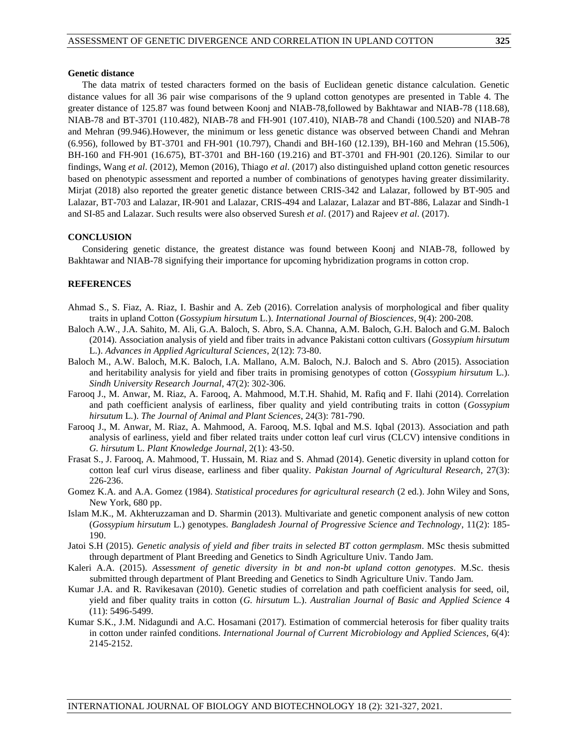# **Genetic distance**

 The data matrix of tested characters formed on the basis of Euclidean genetic distance calculation. Genetic distance values for all 36 pair wise comparisons of the 9 upland cotton genotypes are presented in Table 4. The greater distance of 125.87 was found between Koonj and NIAB-78,followed by Bakhtawar and NIAB-78 (118.68), NIAB-78 and BT-3701 (110.482), NIAB-78 and FH-901 (107.410), NIAB-78 and Chandi (100.520) and NIAB-78 and Mehran (99.946).However, the minimum or less genetic distance was observed between Chandi and Mehran (6.956), followed by BT-3701 and FH-901 (10.797), Chandi and BH-160 (12.139), BH-160 and Mehran (15.506), BH-160 and FH-901 (16.675), BT-3701 and BH-160 (19.216) and BT-3701 and FH-901 (20.126). Similar to our findings, Wang *et al*. (2012), Memon (2016), Thiago *et al*. (2017) also distinguished upland cotton genetic resources based on phenotypic assessment and reported a number of combinations of genotypes having greater dissimilarity. Mirjat (2018) also reported the greater genetic distance between CRIS-342 and Lalazar, followed by BT-905 and Lalazar, BT-703 and Lalazar, IR-901 and Lalazar, CRIS-494 and Lalazar, Lalazar and BT-886, Lalazar and Sindh-1 and SI-85 and Lalazar. Such results were also observed Suresh *et al*. (2017) and Rajeev *et al*. (2017).

# **CONCLUSION**

 Considering genetic distance, the greatest distance was found between Koonj and NIAB-78, followed by Bakhtawar and NIAB-78 signifying their importance for upcoming hybridization programs in cotton crop.

# **REFERENCES**

- Ahmad S., S. Fiaz, A. Riaz, I. Bashir and A. Zeb (2016). Correlation analysis of morphological and fiber quality traits in upland Cotton (*Gossypium hirsutum* L.). *International Journal of Biosciences*, 9(4): 200-208.
- Baloch A.W., J.A. Sahito, M. Ali, G.A. Baloch, S. Abro, S.A. Channa, A.M. Baloch, G.H. Baloch and G.M. Baloch (2014). Association analysis of yield and fiber traits in advance Pakistani cotton cultivars (*Gossypium hirsutum* L.). *Advances in Applied Agricultural Sciences*, 2(12): 73-80.
- Baloch M., A.W. Baloch, M.K. Baloch, I.A. Mallano, A.M. Baloch, N.J. Baloch and S. Abro (2015). Association and heritability analysis for yield and fiber traits in promising genotypes of cotton (*Gossypium hirsutum* L.). *Sindh University Research Journal*, 47(2): 302-306.
- Farooq J., M. Anwar, M. Riaz, A. Farooq, A. Mahmood, M.T.H. Shahid, M. Rafiq and F. Ilahi (2014). Correlation and path coefficient analysis of earliness, fiber quality and yield contributing traits in cotton (*Gossypium hirsutum* L*.*). *The Journal of Animal and Plant Sciences*, 24(3): 781-790.
- Farooq J., M. Anwar, M. Riaz, A. Mahmood, A. Farooq, M.S. Iqbal and M.S. Iqbal (2013). Association and path analysis of earliness, yield and fiber related traits under cotton leaf curl virus (CLCV) intensive conditions in *G. hirsutum* L. *Plant Knowledge Journal*, 2(1): 43-50.
- Frasat S., J. Farooq, A. Mahmood, T. Hussain, M. Riaz and S. Ahmad (2014). Genetic diversity in upland cotton for cotton leaf curl virus disease, earliness and fiber quality. *Pakistan Journal of Agricultural Research*, 27(3): 226-236.
- Gomez K.A. and A.A. Gomez (1984). *Statistical procedures for agricultural research* (2 ed.). John Wiley and Sons, New York, 680 pp.
- Islam M.K., M. Akhteruzzaman and D. Sharmin (2013). Multivariate and genetic component analysis of new cotton (*Gossypium hirsutum* L.) genotypes. *Bangladesh Journal of Progressive Science and Technology*, 11(2): 185- 190.
- Jatoi S.H (2015). *Genetic analysis of yield and fiber traits in selected BT cotton germplasm*. MSc thesis submitted through department of Plant Breeding and Genetics to Sindh Agriculture Univ. Tando Jam.
- Kaleri A.A. (2015). *Assessment of genetic diversity in bt and non-bt upland cotton genotypes*. M.Sc. thesis submitted through department of Plant Breeding and Genetics to Sindh Agriculture Univ. Tando Jam.
- Kumar J.A. and R. Ravikesavan (2010). Genetic studies of correlation and path coefficient analysis for seed, oil, yield and fiber quality traits in cotton (*G. hirsutum* L.). *Australian Journal of Basic and Applied Science* 4 (11): 5496-5499.
- Kumar S.K., J.M. Nidagundi and A.C. Hosamani (2017). Estimation of commercial heterosis for fiber quality traits in cotton under rainfed conditions. *International Journal of Current Microbiology and Applied Sciences*, 6(4): 2145-2152.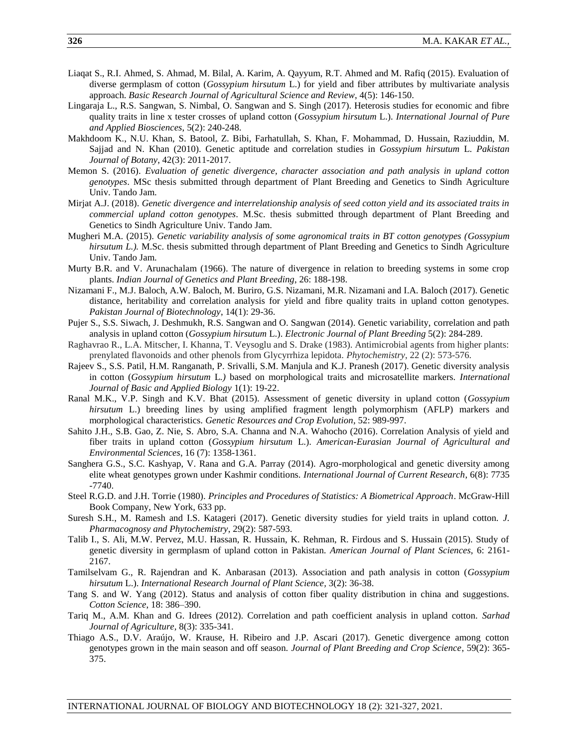- Liaqat S., R.I. Ahmed, S. Ahmad, M. Bilal, A. Karim, A. Qayyum, R.T. Ahmed and M. Rafiq (2015). Evaluation of diverse germplasm of cotton (*Gossypium hirsutum* L.) for yield and fiber attributes by multivariate analysis approach. *Basic Research Journal of Agricultural Science and Review*, 4(5): 146-150.
- Lingaraja L., R.S. Sangwan, S. Nimbal, O. Sangwan and S. Singh (2017). Heterosis studies for economic and fibre quality traits in line x tester crosses of upland cotton (*Gossypium hirsutum* L.). *International Journal of Pure and Applied Biosciences*, 5(2): 240-248.
- Makhdoom K., N.U. Khan, S. Batool, Z. Bibi, Farhatullah, S. Khan, F. Mohammad, D. Hussain, Raziuddin, M. Sajjad and N. Khan (2010). Genetic aptitude and correlation studies in *Gossypium hirsutum* L. *Pakistan Journal of Botany*, 42(3): 2011-2017.
- Memon S. (2016). *Evaluation of genetic divergence, character association and path analysis in upland cotton genotypes*. MSc thesis submitted through department of Plant Breeding and Genetics to Sindh Agriculture Univ. Tando Jam.
- Mirjat A.J. (2018). *Genetic divergence and interrelationship analysis of seed cotton yield and its associated traits in commercial upland cotton genotypes*. M.Sc. thesis submitted through department of Plant Breeding and Genetics to Sindh Agriculture Univ. Tando Jam.
- Mugheri M.A. (2015). *Genetic variability analysis of some agronomical traits in BT cotton genotypes (Gossypium hirsutum L.).* M.Sc. thesis submitted through department of Plant Breeding and Genetics to Sindh Agriculture Univ. Tando Jam.
- Murty B.R. and V. Arunachalam (1966). The nature of divergence in relation to breeding systems in some crop plants. *Indian Journal of Genetics and Plant Breeding*, 26: 188-198.
- Nizamani F., M.J. Baloch, A.W. Baloch, M. Buriro, G.S. Nizamani, M.R. Nizamani and I.A. Baloch (2017). Genetic distance, heritability and correlation analysis for yield and fibre quality traits in upland cotton genotypes. *Pakistan Journal of Biotechnology*, 14(1): 29-36.
- Pujer S., S.S. Siwach, J. Deshmukh, R.S. Sangwan and O. Sangwan (2014). Genetic variability, correlation and path analysis in upland cotton (*Gossypium hirsutum* L.). *Electronic Journal of Plant Breeding* 5(2): 284-289.
- Raghavrao R., L.A. Mitscher, I. Khanna, T. Veysoglu and S. Drake (1983). Antimicrobial agents from higher plants: prenylated flavonoids and other phenols from Glycyrrhiza lepidota. *Phytochemistry*, 22 (2): 573-576.
- Rajeev S., S.S. Patil, H.M. Ranganath, P. Srivalli, S.M. Manjula and K.J. Pranesh (2017). Genetic diversity analysis in cotton (*Gossypium hirsutum* L*.)* based on morphological traits and microsatellite markers. *International Journal of Basic and Applied Biology* 1(1): 19-22.
- Ranal M.K., V.P. Singh and K.V. Bhat (2015). Assessment of genetic diversity in upland cotton (*Gossypium hirsutum* L.) breeding lines by using amplified fragment length polymorphism (AFLP) markers and morphological characteristics. *Genetic Resources and Crop Evolution*, 52: 989-997.
- Sahito J.H., S.B. Gao, Z. Nie, S. Abro, S.A. Channa and N.A. Wahocho (2016). Correlation Analysis of yield and fiber traits in upland cotton (*Gossypium hirsutum* L.). *American-Eurasian Journal of Agricultural and Environmental Sciences*, 16 (7): 1358-1361.
- Sanghera G.S., S.C. Kashyap, V. Rana and G.A. Parray (2014). Agro-morphological and genetic diversity among elite wheat genotypes grown under Kashmir conditions. *International Journal of Current Research*, 6(8): 7735 -7740.
- Steel R.G.D. and J.H. Torrie (1980). *Principles and Procedures of Statistics: A Biometrical Approach*. McGraw-Hill Book Company, New York, 633 pp.
- Suresh S.H., M. Ramesh and I.S. Katageri (2017). Genetic diversity studies for yield traits in upland cotton. *J. Pharmacognosy and Phytochemistry*, 29(2): 587-593.
- Talib I., S. Ali, M.W. Pervez, M.U. Hassan, R. Hussain, K. Rehman, R. Firdous and S. Hussain (2015). Study of genetic diversity in germplasm of upland cotton in Pakistan. *American Journal of Plant Sciences*, 6: 2161- 2167.
- Tamilselvam G., R. Rajendran and K. Anbarasan (2013). Association and path analysis in cotton (*Gossypium hirsutum* L.). *International Research Journal of Plant Science,* 3(2): 36-38.
- Tang S. and W. Yang (2012). Status and analysis of cotton fiber quality distribution in china and suggestions. *Cotton Science*, 18: 386–390.
- Tariq M., A.M. Khan and G. Idrees (2012). Correlation and path coefficient analysis in upland cotton. *Sarhad Journal of Agriculture,* 8(3): 335-341.
- Thiago A.S., D.V. Araújo, W. Krause, H. Ribeiro and J.P. Ascari (2017). Genetic divergence among cotton genotypes grown in the main season and off season. *Journal of Plant Breeding and Crop Science*, 59(2): 365- 375.